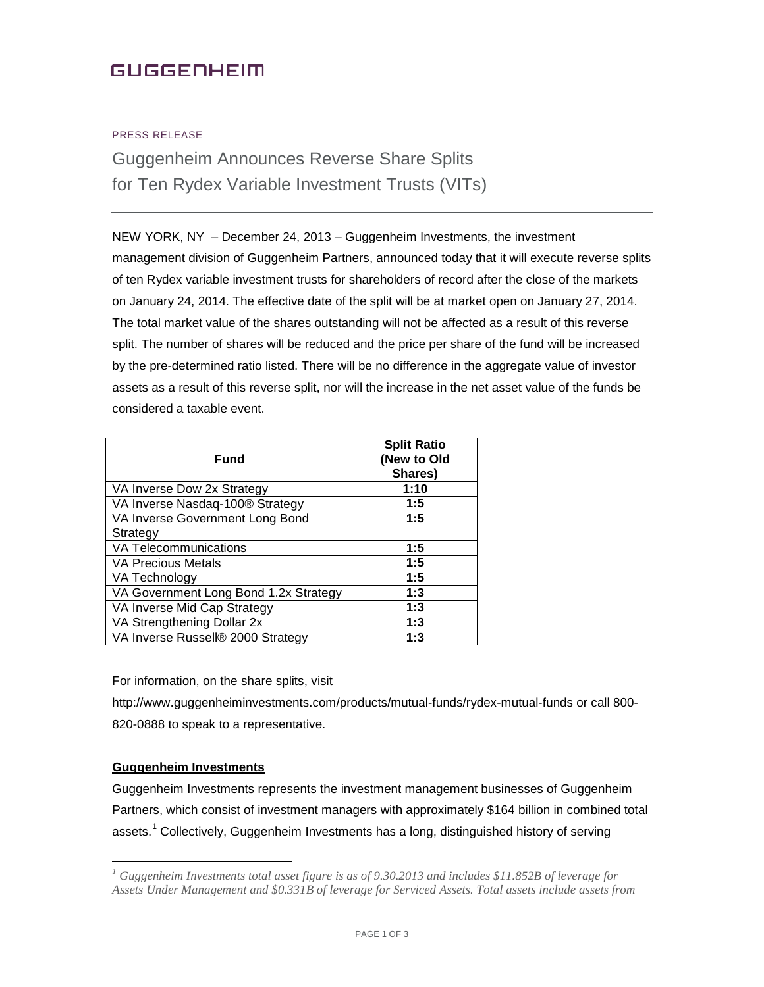# **GUGGENHEIM**

#### PRESS RELEASE

Guggenheim Announces Reverse Share Splits for Ten Rydex Variable Investment Trusts (VITs)

NEW YORK, NY – December 24, 2013 – Guggenheim Investments, the investment management division of Guggenheim Partners, announced today that it will execute reverse splits of ten Rydex variable investment trusts for shareholders of record after the close of the markets on January 24, 2014. The effective date of the split will be at market open on January 27, 2014. The total market value of the shares outstanding will not be affected as a result of this reverse split. The number of shares will be reduced and the price per share of the fund will be increased by the pre-determined ratio listed. There will be no difference in the aggregate value of investor assets as a result of this reverse split, nor will the increase in the net asset value of the funds be considered a taxable event.

| <b>Fund</b>                           | <b>Split Ratio</b><br>(New to Old<br>Shares) |
|---------------------------------------|----------------------------------------------|
| VA Inverse Dow 2x Strategy            | 1:10                                         |
| VA Inverse Nasdaq-100® Strategy       | 1:5                                          |
| VA Inverse Government Long Bond       | 1:5                                          |
| Strategy                              |                                              |
| <b>VA Telecommunications</b>          | 1:5                                          |
| <b>VA Precious Metals</b>             | 1:5                                          |
| VA Technology                         | 1:5                                          |
| VA Government Long Bond 1.2x Strategy | 1:3                                          |
| VA Inverse Mid Cap Strategy           | 1:3                                          |
| VA Strengthening Dollar 2x            | 1:3                                          |
| VA Inverse Russell® 2000 Strategy     | 1:3                                          |

For information, on the share splits, visit

<http://www.guggenheiminvestments.com/products/mutual-funds/rydex-mutual-funds> or call 800- 820-0888 to speak to a representative.

#### **Guggenheim Investments**

Guggenheim Investments represents the investment management businesses of Guggenheim Partners, which consist of investment managers with approximately \$164 billion in combined total assets.<sup>[1](#page-0-0)</sup> Collectively, Guggenheim Investments has a long, distinguished history of serving

<span id="page-0-0"></span>*<sup>1</sup> Guggenheim Investments total asset figure is as of 9.30.2013 and includes \$11.852B of leverage for Assets Under Management and \$0.331B of leverage for Serviced Assets. Total assets include assets from*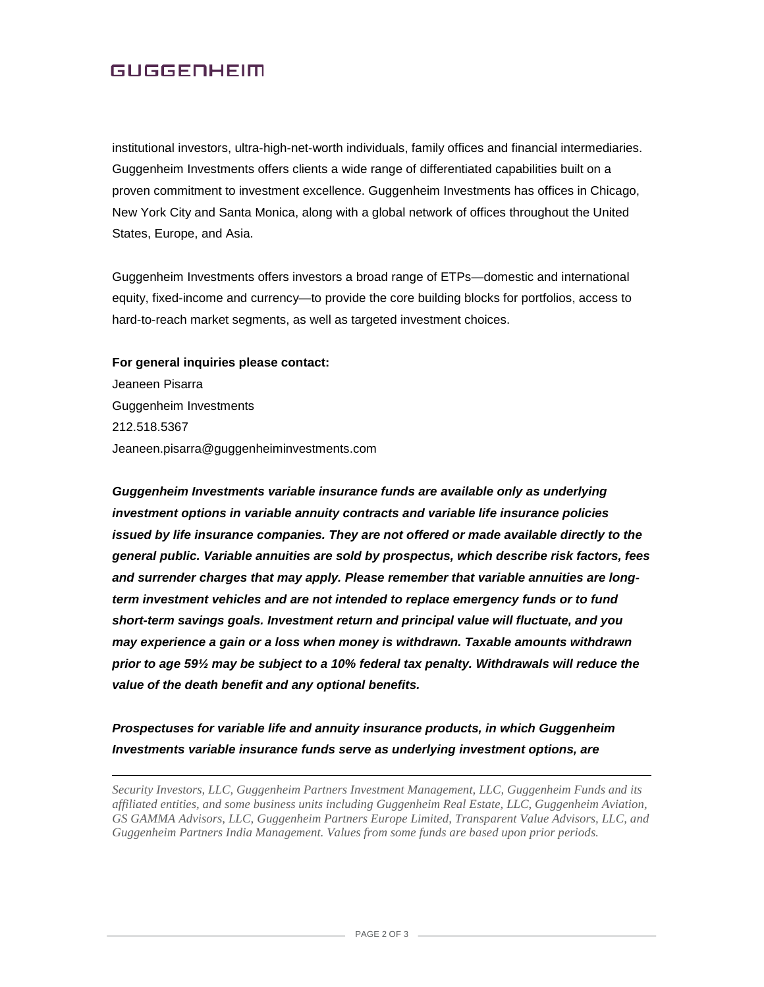## **GUGGENHEIM**

institutional investors, ultra-high-net-worth individuals, family offices and financial intermediaries. Guggenheim Investments offers clients a wide range of differentiated capabilities built on a proven commitment to investment excellence. Guggenheim Investments has offices in Chicago, New York City and Santa Monica, along with a global network of offices throughout the United States, Europe, and Asia.

Guggenheim Investments offers investors a broad range of ETPs—domestic and international equity, fixed-income and currency—to provide the core building blocks for portfolios, access to hard-to-reach market segments, as well as targeted investment choices.

#### **For general inquiries please contact:**

 $\overline{a}$ 

Jeaneen Pisarra Guggenheim Investments 212.518.5367 Jeaneen.pisarra@guggenheiminvestments.com

*Guggenheim Investments variable insurance funds are available only as underlying investment options in variable annuity contracts and variable life insurance policies*  issued by life insurance companies. They are not offered or made available directly to the *general public. Variable annuities are sold by prospectus, which describe risk factors, fees and surrender charges that may apply. Please remember that variable annuities are longterm investment vehicles and are not intended to replace emergency funds or to fund short-term savings goals. Investment return and principal value will fluctuate, and you may experience a gain or a loss when money is withdrawn. Taxable amounts withdrawn prior to age 59½ may be subject to a 10% federal tax penalty. Withdrawals will reduce the value of the death benefit and any optional benefits.*

### *Prospectuses for variable life and annuity insurance products, in which Guggenheim Investments variable insurance funds serve as underlying investment options, are*

*Security Investors, LLC, Guggenheim Partners Investment Management, LLC, Guggenheim Funds and its affiliated entities, and some business units including Guggenheim Real Estate, LLC, Guggenheim Aviation, GS GAMMA Advisors, LLC, Guggenheim Partners Europe Limited, Transparent Value Advisors, LLC, and Guggenheim Partners India Management. Values from some funds are based upon prior periods.*